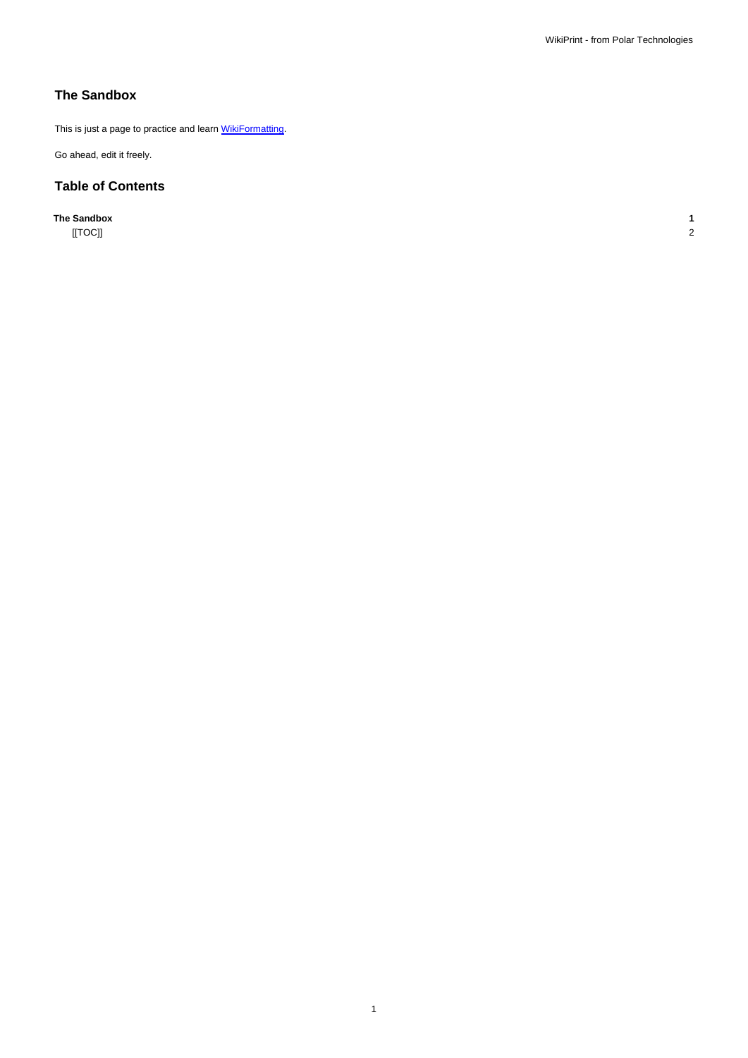## **The Sandbox**

This is just a page to practice and learn **WikiFormatting**.

Go ahead, edit it freely.

## **Table of Contents**

**The Sandbox 1**

[[TOC]] 2